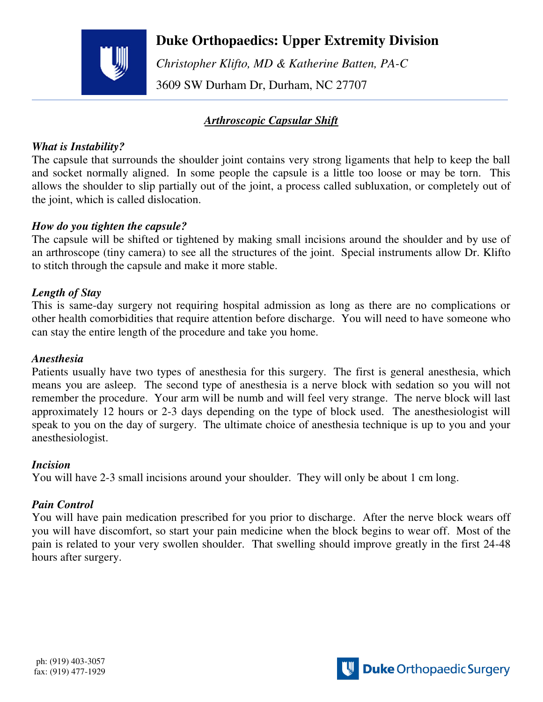

# **Duke Orthopaedics: Upper Extremity Division**

 *Christopher Klifto, MD & Katherine Batten, PA-C*  3609 SW Durham Dr, Durham, NC 27707

# *Arthroscopic Capsular Shift*

### *What is Instability?*

The capsule that surrounds the shoulder joint contains very strong ligaments that help to keep the ball and socket normally aligned. In some people the capsule is a little too loose or may be torn. This allows the shoulder to slip partially out of the joint, a process called subluxation, or completely out of the joint, which is called dislocation.

### *How do you tighten the capsule?*

The capsule will be shifted or tightened by making small incisions around the shoulder and by use of an arthroscope (tiny camera) to see all the structures of the joint. Special instruments allow Dr. Klifto to stitch through the capsule and make it more stable.

### *Length of Stay*

This is same-day surgery not requiring hospital admission as long as there are no complications or other health comorbidities that require attention before discharge. You will need to have someone who can stay the entire length of the procedure and take you home.

### *Anesthesia*

Patients usually have two types of anesthesia for this surgery. The first is general anesthesia, which means you are asleep. The second type of anesthesia is a nerve block with sedation so you will not remember the procedure. Your arm will be numb and will feel very strange. The nerve block will last approximately 12 hours or 2-3 days depending on the type of block used. The anesthesiologist will speak to you on the day of surgery. The ultimate choice of anesthesia technique is up to you and your anesthesiologist.

### *Incision*

You will have 2-3 small incisions around your shoulder. They will only be about 1 cm long.

### *Pain Control*

You will have pain medication prescribed for you prior to discharge. After the nerve block wears off you will have discomfort, so start your pain medicine when the block begins to wear off. Most of the pain is related to your very swollen shoulder. That swelling should improve greatly in the first 24-48 hours after surgery.